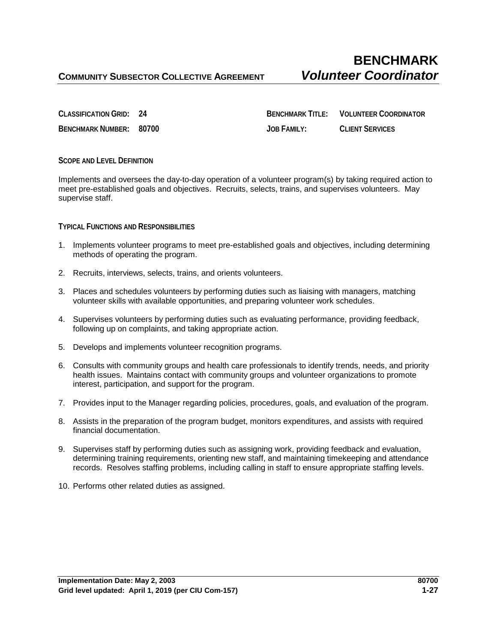**CLASSIFICATION GRID: 24 BENCHMARK TITLE: VOLUNTEER COORDINATOR BENCHMARK NUMBER: 80700 JOB FAMILY: CLIENT SERVICES**

## **SCOPE AND LEVEL DEFINITION**

Implements and oversees the day-to-day operation of a volunteer program(s) by taking required action to meet pre-established goals and objectives. Recruits, selects, trains, and supervises volunteers. May supervise staff.

**TYPICAL FUNCTIONS AND RESPONSIBILITIES**

- 1. Implements volunteer programs to meet pre-established goals and objectives, including determining methods of operating the program.
- 2. Recruits, interviews, selects, trains, and orients volunteers.
- 3. Places and schedules volunteers by performing duties such as liaising with managers, matching volunteer skills with available opportunities, and preparing volunteer work schedules.
- 4. Supervises volunteers by performing duties such as evaluating performance, providing feedback, following up on complaints, and taking appropriate action.
- 5. Develops and implements volunteer recognition programs.
- 6. Consults with community groups and health care professionals to identify trends, needs, and priority health issues. Maintains contact with community groups and volunteer organizations to promote interest, participation, and support for the program.
- 7. Provides input to the Manager regarding policies, procedures, goals, and evaluation of the program.
- 8. Assists in the preparation of the program budget, monitors expenditures, and assists with required financial documentation.
- 9. Supervises staff by performing duties such as assigning work, providing feedback and evaluation, determining training requirements, orienting new staff, and maintaining timekeeping and attendance records. Resolves staffing problems, including calling in staff to ensure appropriate staffing levels.
- 10. Performs other related duties as assigned.